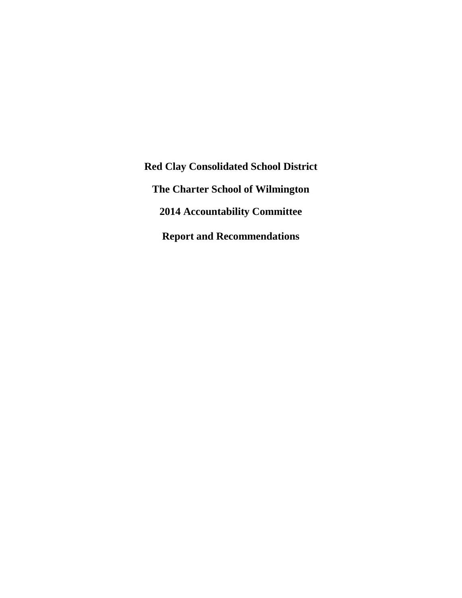**Red Clay Consolidated School District The Charter School of Wilmington 2014 Accountability Committee Report and Recommendations**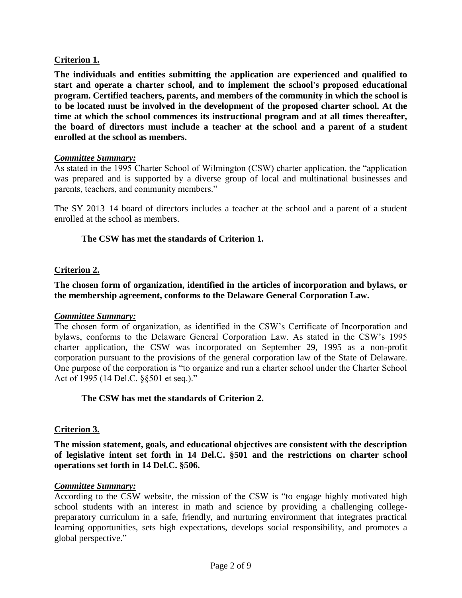# **Criterion 1.**

**The individuals and entities submitting the application are experienced and qualified to start and operate a charter school, and to implement the school's proposed educational program. Certified teachers, parents, and members of the community in which the school is to be located must be involved in the development of the proposed charter school. At the time at which the school commences its instructional program and at all times thereafter, the board of directors must include a teacher at the school and a parent of a student enrolled at the school as members.**

#### *Committee Summary:*

As stated in the 1995 Charter School of Wilmington (CSW) charter application, the "application was prepared and is supported by a diverse group of local and multinational businesses and parents, teachers, and community members."

The SY 2013–14 board of directors includes a teacher at the school and a parent of a student enrolled at the school as members.

#### **The CSW has met the standards of Criterion 1.**

# **Criterion 2.**

**The chosen form of organization, identified in the articles of incorporation and bylaws, or the membership agreement, conforms to the Delaware General Corporation Law.**

#### *Committee Summary:*

The chosen form of organization, as identified in the CSW's Certificate of Incorporation and bylaws, conforms to the Delaware General Corporation Law. As stated in the CSW's 1995 charter application, the CSW was incorporated on September 29, 1995 as a non-profit corporation pursuant to the provisions of the general corporation law of the State of Delaware. One purpose of the corporation is "to organize and run a charter school under the Charter School Act of 1995 (14 Del.C. §§501 et seq.)."

#### **The CSW has met the standards of Criterion 2.**

# **Criterion 3.**

**The mission statement, goals, and educational objectives are consistent with the description of legislative intent set forth in 14 Del.C. §501 and the restrictions on charter school operations set forth in 14 Del.C. §506.**

#### *Committee Summary:*

According to the CSW website, the mission of the CSW is "to engage highly motivated high school students with an interest in math and science by providing a challenging collegepreparatory curriculum in a safe, friendly, and nurturing environment that integrates practical learning opportunities, sets high expectations, develops social responsibility, and promotes a global perspective."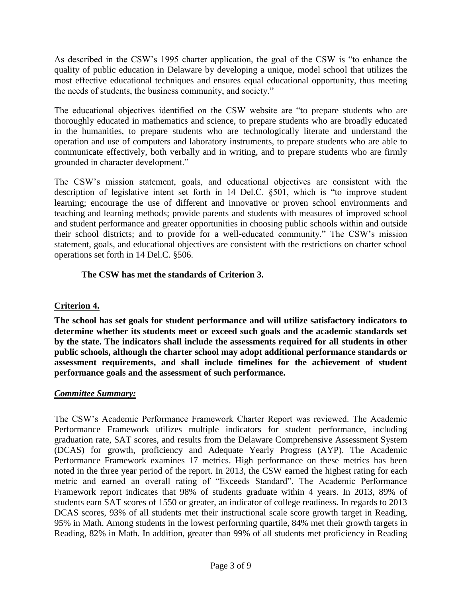As described in the CSW's 1995 charter application, the goal of the CSW is "to enhance the quality of public education in Delaware by developing a unique, model school that utilizes the most effective educational techniques and ensures equal educational opportunity, thus meeting the needs of students, the business community, and society."

The educational objectives identified on the CSW website are "to prepare students who are thoroughly educated in mathematics and science, to prepare students who are broadly educated in the humanities, to prepare students who are technologically literate and understand the operation and use of computers and laboratory instruments, to prepare students who are able to communicate effectively, both verbally and in writing, and to prepare students who are firmly grounded in character development."

The CSW's mission statement, goals, and educational objectives are consistent with the description of legislative intent set forth in 14 Del.C. §501, which is "to improve student learning; encourage the use of different and innovative or proven school environments and teaching and learning methods; provide parents and students with measures of improved school and student performance and greater opportunities in choosing public schools within and outside their school districts; and to provide for a well-educated community." The CSW's mission statement, goals, and educational objectives are consistent with the restrictions on charter school operations set forth in 14 Del.C. §506.

# **The CSW has met the standards of Criterion 3.**

# **Criterion 4.**

**The school has set goals for student performance and will utilize satisfactory indicators to determine whether its students meet or exceed such goals and the academic standards set by the state. The indicators shall include the assessments required for all students in other public schools, although the charter school may adopt additional performance standards or assessment requirements, and shall include timelines for the achievement of student performance goals and the assessment of such performance.**

# *Committee Summary:*

The CSW's Academic Performance Framework Charter Report was reviewed. The Academic Performance Framework utilizes multiple indicators for student performance, including graduation rate, SAT scores, and results from the Delaware Comprehensive Assessment System (DCAS) for growth, proficiency and Adequate Yearly Progress (AYP). The Academic Performance Framework examines 17 metrics. High performance on these metrics has been noted in the three year period of the report. In 2013, the CSW earned the highest rating for each metric and earned an overall rating of "Exceeds Standard". The Academic Performance Framework report indicates that 98% of students graduate within 4 years. In 2013, 89% of students earn SAT scores of 1550 or greater, an indicator of college readiness. In regards to 2013 DCAS scores, 93% of all students met their instructional scale score growth target in Reading, 95% in Math. Among students in the lowest performing quartile, 84% met their growth targets in Reading, 82% in Math. In addition, greater than 99% of all students met proficiency in Reading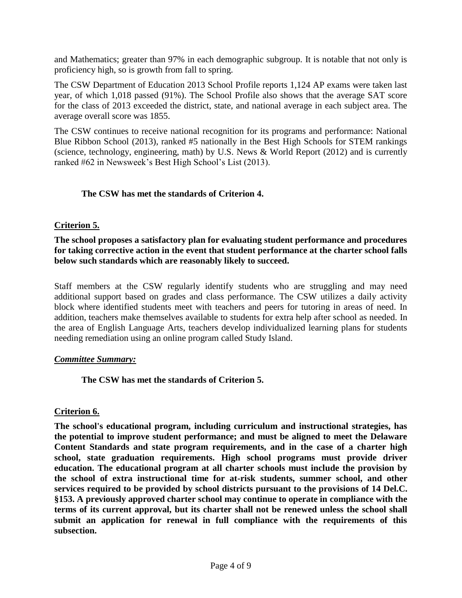and Mathematics; greater than 97% in each demographic subgroup. It is notable that not only is proficiency high, so is growth from fall to spring.

The CSW Department of Education 2013 School Profile reports 1,124 AP exams were taken last year, of which 1,018 passed (91%). The School Profile also shows that the average SAT score for the class of 2013 exceeded the district, state, and national average in each subject area. The average overall score was 1855.

The CSW continues to receive national recognition for its programs and performance: National Blue Ribbon School (2013), ranked #5 nationally in the Best High Schools for STEM rankings (science, technology, engineering, math) by U.S. News & World Report (2012) and is currently ranked #62 in Newsweek's Best High School's List (2013).

# **The CSW has met the standards of Criterion 4.**

# **Criterion 5.**

**The school proposes a satisfactory plan for evaluating student performance and procedures for taking corrective action in the event that student performance at the charter school falls below such standards which are reasonably likely to succeed.**

Staff members at the CSW regularly identify students who are struggling and may need additional support based on grades and class performance. The CSW utilizes a daily activity block where identified students meet with teachers and peers for tutoring in areas of need. In addition, teachers make themselves available to students for extra help after school as needed. In the area of English Language Arts, teachers develop individualized learning plans for students needing remediation using an online program called Study Island.

#### *Committee Summary:*

**The CSW has met the standards of Criterion 5.**

# **Criterion 6.**

**The school's educational program, including curriculum and instructional strategies, has the potential to improve student performance; and must be aligned to meet the Delaware Content Standards and state program requirements, and in the case of a charter high school, state graduation requirements. High school programs must provide driver education. The educational program at all charter schools must include the provision by the school of extra instructional time for at-risk students, summer school, and other services required to be provided by school districts pursuant to the provisions of 14 Del.C. §153. A previously approved charter school may continue to operate in compliance with the terms of its current approval, but its charter shall not be renewed unless the school shall submit an application for renewal in full compliance with the requirements of this subsection.**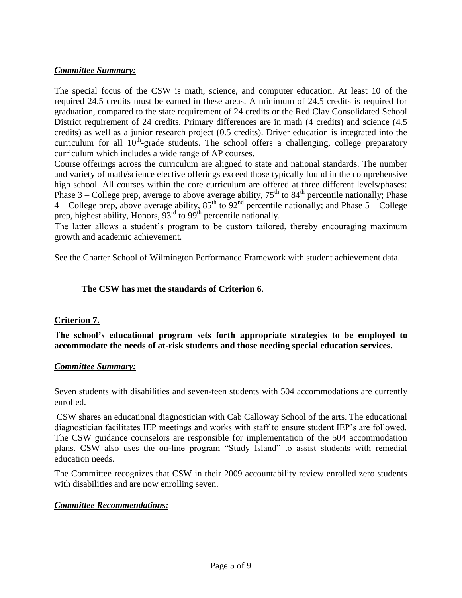# *Committee Summary:*

The special focus of the CSW is math, science, and computer education. At least 10 of the required 24.5 credits must be earned in these areas. A minimum of 24.5 credits is required for graduation, compared to the state requirement of 24 credits or the Red Clay Consolidated School District requirement of 24 credits. Primary differences are in math (4 credits) and science (4.5 credits) as well as a junior research project (0.5 credits). Driver education is integrated into the curriculum for all  $10<sup>th</sup>$ -grade students. The school offers a challenging, college preparatory curriculum which includes a wide range of AP courses.

Course offerings across the curriculum are aligned to state and national standards. The number and variety of math/science elective offerings exceed those typically found in the comprehensive high school. All courses within the core curriculum are offered at three different levels/phases: Phase  $3$  – College prep, average to above average ability,  $75<sup>th</sup>$  to  $84<sup>th</sup>$  percentile nationally; Phase 4 – College prep, above average ability,  $85<sup>th</sup>$  to  $92<sup>nd</sup>$  percentile nationally; and Phase  $5$  – College prep, highest ability, Honors,  $93<sup>rd</sup>$  to  $99<sup>th</sup>$  percentile nationally.

The latter allows a student's program to be custom tailored, thereby encouraging maximum growth and academic achievement.

See the Charter School of Wilmington Performance Framework with student achievement data.

# **The CSW has met the standards of Criterion 6.**

# **Criterion 7.**

**The school's educational program sets forth appropriate strategies to be employed to accommodate the needs of at-risk students and those needing special education services.**

# *Committee Summary:*

Seven students with disabilities and seven-teen students with 504 accommodations are currently enrolled.

CSW shares an educational diagnostician with Cab Calloway School of the arts. The educational diagnostician facilitates IEP meetings and works with staff to ensure student IEP's are followed. The CSW guidance counselors are responsible for implementation of the 504 accommodation plans. CSW also uses the on-line program "Study Island" to assist students with remedial education needs.

The Committee recognizes that CSW in their 2009 accountability review enrolled zero students with disabilities and are now enrolling seven.

# *Committee Recommendations:*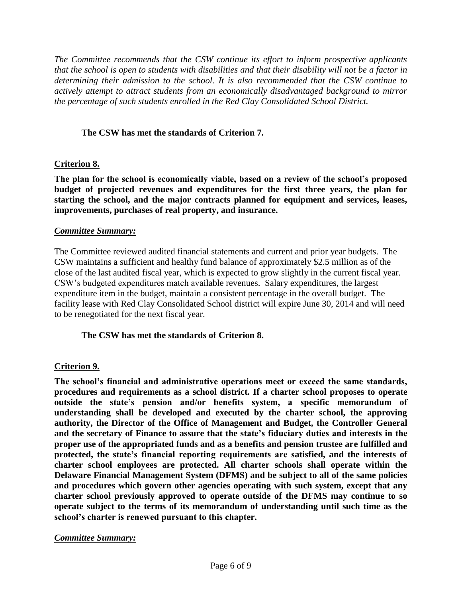*The Committee recommends that the CSW continue its effort to inform prospective applicants that the school is open to students with disabilities and that their disability will not be a factor in determining their admission to the school. It is also recommended that the CSW continue to actively attempt to attract students from an economically disadvantaged background to mirror the percentage of such students enrolled in the Red Clay Consolidated School District.*

# **The CSW has met the standards of Criterion 7.**

# **Criterion 8.**

**The plan for the school is economically viable, based on a review of the school's proposed budget of projected revenues and expenditures for the first three years, the plan for starting the school, and the major contracts planned for equipment and services, leases, improvements, purchases of real property, and insurance.**

# *Committee Summary:*

The Committee reviewed audited financial statements and current and prior year budgets. The CSW maintains a sufficient and healthy fund balance of approximately \$2.5 million as of the close of the last audited fiscal year, which is expected to grow slightly in the current fiscal year. CSW's budgeted expenditures match available revenues. Salary expenditures, the largest expenditure item in the budget, maintain a consistent percentage in the overall budget. The facility lease with Red Clay Consolidated School district will expire June 30, 2014 and will need to be renegotiated for the next fiscal year.

# **The CSW has met the standards of Criterion 8.**

# **Criterion 9.**

**The school's financial and administrative operations meet or exceed the same standards, procedures and requirements as a school district. If a charter school proposes to operate outside the state's pension and/or benefits system, a specific memorandum of understanding shall be developed and executed by the charter school, the approving authority, the Director of the Office of Management and Budget, the Controller General and the secretary of Finance to assure that the state's fiduciary duties and interests in the proper use of the appropriated funds and as a benefits and pension trustee are fulfilled and protected, the state's financial reporting requirements are satisfied, and the interests of charter school employees are protected. All charter schools shall operate within the Delaware Financial Management System (DFMS) and be subject to all of the same policies and procedures which govern other agencies operating with such system, except that any charter school previously approved to operate outside of the DFMS may continue to so operate subject to the terms of its memorandum of understanding until such time as the school's charter is renewed pursuant to this chapter.**

# *Committee Summary:*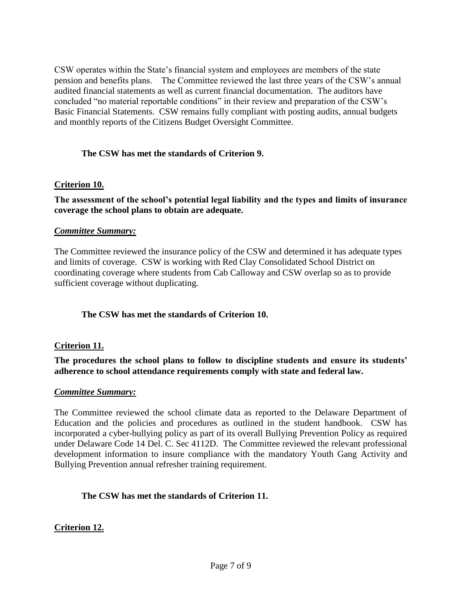CSW operates within the State's financial system and employees are members of the state pension and benefits plans. The Committee reviewed the last three years of the CSW's annual audited financial statements as well as current financial documentation. The auditors have concluded "no material reportable conditions" in their review and preparation of the CSW's Basic Financial Statements. CSW remains fully compliant with posting audits, annual budgets and monthly reports of the Citizens Budget Oversight Committee.

# **The CSW has met the standards of Criterion 9.**

# **Criterion 10.**

#### **The assessment of the school's potential legal liability and the types and limits of insurance coverage the school plans to obtain are adequate.**

#### *Committee Summary:*

The Committee reviewed the insurance policy of the CSW and determined it has adequate types and limits of coverage. CSW is working with Red Clay Consolidated School District on coordinating coverage where students from Cab Calloway and CSW overlap so as to provide sufficient coverage without duplicating.

# **The CSW has met the standards of Criterion 10.**

#### **Criterion 11.**

**The procedures the school plans to follow to discipline students and ensure its students' adherence to school attendance requirements comply with state and federal law.**

#### *Committee Summary:*

The Committee reviewed the school climate data as reported to the Delaware Department of Education and the policies and procedures as outlined in the student handbook. CSW has incorporated a cyber-bullying policy as part of its overall Bullying Prevention Policy as required under Delaware Code 14 Del. C. Sec 4112D. The Committee reviewed the relevant professional development information to insure compliance with the mandatory Youth Gang Activity and Bullying Prevention annual refresher training requirement.

#### **The CSW has met the standards of Criterion 11.**

# **Criterion 12.**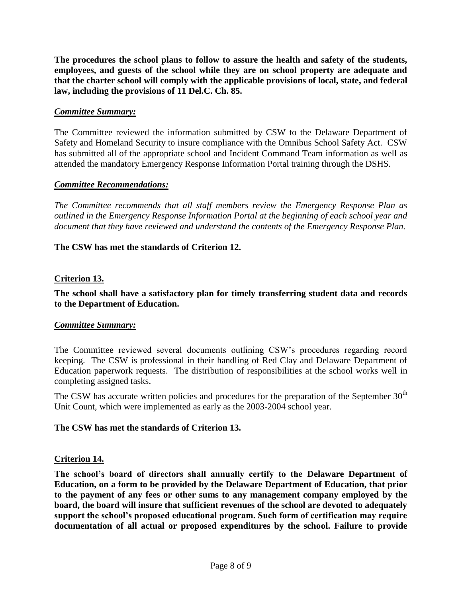**The procedures the school plans to follow to assure the health and safety of the students, employees, and guests of the school while they are on school property are adequate and that the charter school will comply with the applicable provisions of local, state, and federal law, including the provisions of 11 Del.C. Ch. 85.**

#### *Committee Summary:*

The Committee reviewed the information submitted by CSW to the Delaware Department of Safety and Homeland Security to insure compliance with the Omnibus School Safety Act. CSW has submitted all of the appropriate school and Incident Command Team information as well as attended the mandatory Emergency Response Information Portal training through the DSHS.

#### *Committee Recommendations:*

*The Committee recommends that all staff members review the Emergency Response Plan as outlined in the Emergency Response Information Portal at the beginning of each school year and document that they have reviewed and understand the contents of the Emergency Response Plan.*

# **The CSW has met the standards of Criterion 12.**

#### **Criterion 13.**

#### **The school shall have a satisfactory plan for timely transferring student data and records to the Department of Education.**

#### *Committee Summary:*

The Committee reviewed several documents outlining CSW's procedures regarding record keeping. The CSW is professional in their handling of Red Clay and Delaware Department of Education paperwork requests. The distribution of responsibilities at the school works well in completing assigned tasks.

The CSW has accurate written policies and procedures for the preparation of the September  $30<sup>th</sup>$ Unit Count, which were implemented as early as the 2003-2004 school year.

#### **The CSW has met the standards of Criterion 13.**

#### **Criterion 14.**

**The school's board of directors shall annually certify to the Delaware Department of Education, on a form to be provided by the Delaware Department of Education, that prior to the payment of any fees or other sums to any management company employed by the board, the board will insure that sufficient revenues of the school are devoted to adequately support the school's proposed educational program. Such form of certification may require documentation of all actual or proposed expenditures by the school. Failure to provide**